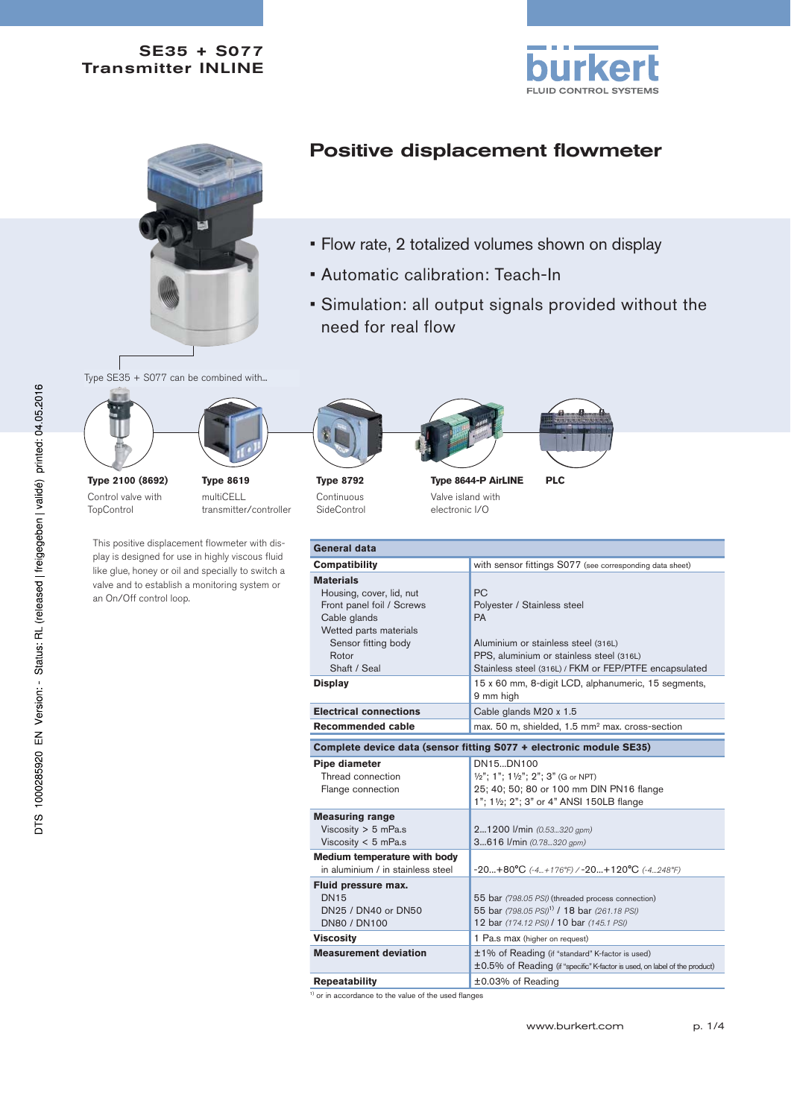### SE35 + S077 Transmitter INLINE





# Positive displacement flowmeter

- Flow rate, 2 totalized volumes shown on display
- Automatic calibration: Teach-In
- Simulation: all output signals provided without the need for real flow

Type SE35 + S077 can be combined with...



**Type 2100 (8692)** Control valve with **TopControl** 

multiCELL transmitter/controller

This positive displacement flowmeter with display is designed for use in highly viscous fluid like glue, honey or oil and specially to switch a valve and to establish a monitoring system or an On/Off control loop.

**Type 8792** Continuous

**SideControl** 





Valve island with electronic I/O

| <b>General data</b>                                                                                                                                                                   |                                                                                                                                                                                                                                                                       |  |  |  |
|---------------------------------------------------------------------------------------------------------------------------------------------------------------------------------------|-----------------------------------------------------------------------------------------------------------------------------------------------------------------------------------------------------------------------------------------------------------------------|--|--|--|
| <b>Compatibility</b>                                                                                                                                                                  | with sensor fittings S077 (see corresponding data sheet)                                                                                                                                                                                                              |  |  |  |
| <b>Materials</b><br>Housing, cover, lid, nut<br>Front panel foil / Screws<br>Cable glands<br>Wetted parts materials<br>Sensor fitting body<br>Rotor<br>Shaft / Seal<br><b>Display</b> | <b>PC</b><br>Polyester / Stainless steel<br><b>PA</b><br>Aluminium or stainless steel (316L)<br>PPS, aluminium or stainless steel (316L)<br>Stainless steel (316L) / FKM or FEP/PTFE encapsulated<br>15 x 60 mm, 8-digit LCD, alphanumeric, 15 segments,<br>9 mm high |  |  |  |
| <b>Electrical connections</b>                                                                                                                                                         | Cable glands M20 x 1.5                                                                                                                                                                                                                                                |  |  |  |
| Recommended cable                                                                                                                                                                     | max. 50 m, shielded, 1.5 mm <sup>2</sup> max. cross-section                                                                                                                                                                                                           |  |  |  |
| Complete device data (sensor fitting S077 + electronic module SE35)                                                                                                                   |                                                                                                                                                                                                                                                                       |  |  |  |
| <b>Pipe diameter</b><br>Thread connection<br>Flange connection                                                                                                                        | DN15DN100<br>1/2"; 1"; 11/2"; 2"; 3" (G or NPT)<br>25; 40; 50; 80 or 100 mm DIN PN16 flange<br>1"; 11/2; 2"; 3" or 4" ANSI 150LB flange                                                                                                                               |  |  |  |
| <b>Measuring range</b><br>Viscosity $>$ 5 mPa.s<br>Viscosity $<$ 5 mPa.s                                                                                                              | 21200 l/min (0.53320 gpm)<br>3616 l/min (0.78320 gpm)                                                                                                                                                                                                                 |  |  |  |
| Medium temperature with body<br>in aluminium / in stainless steel                                                                                                                     | $-20+80^{\circ}C$ (-4+176°F) / -20+120°C (-4248°F)                                                                                                                                                                                                                    |  |  |  |
| Fluid pressure max.<br><b>DN15</b><br>DN25 / DN40 or DN50<br><b>DN80 / DN100</b>                                                                                                      | 55 bar (798.05 PSI) (threaded process connection)<br>55 bar (798.05 PSI) <sup>1)</sup> / 18 bar (261.18 PSI)<br>12 bar (174.12 PSI) / 10 bar (145.1 PSI)                                                                                                              |  |  |  |
| <b>Viscosity</b>                                                                                                                                                                      | 1 Pa.s max (higher on request)                                                                                                                                                                                                                                        |  |  |  |
| <b>Measurement deviation</b>                                                                                                                                                          | ±1% of Reading (if "standard" K-factor is used)<br>±0.5% of Reading (if "specific" K-factor is used, on label of the product)                                                                                                                                         |  |  |  |

**Repeatability** ±0.03% of Reading

<sup>1)</sup> or in accordance to the value of the used flanges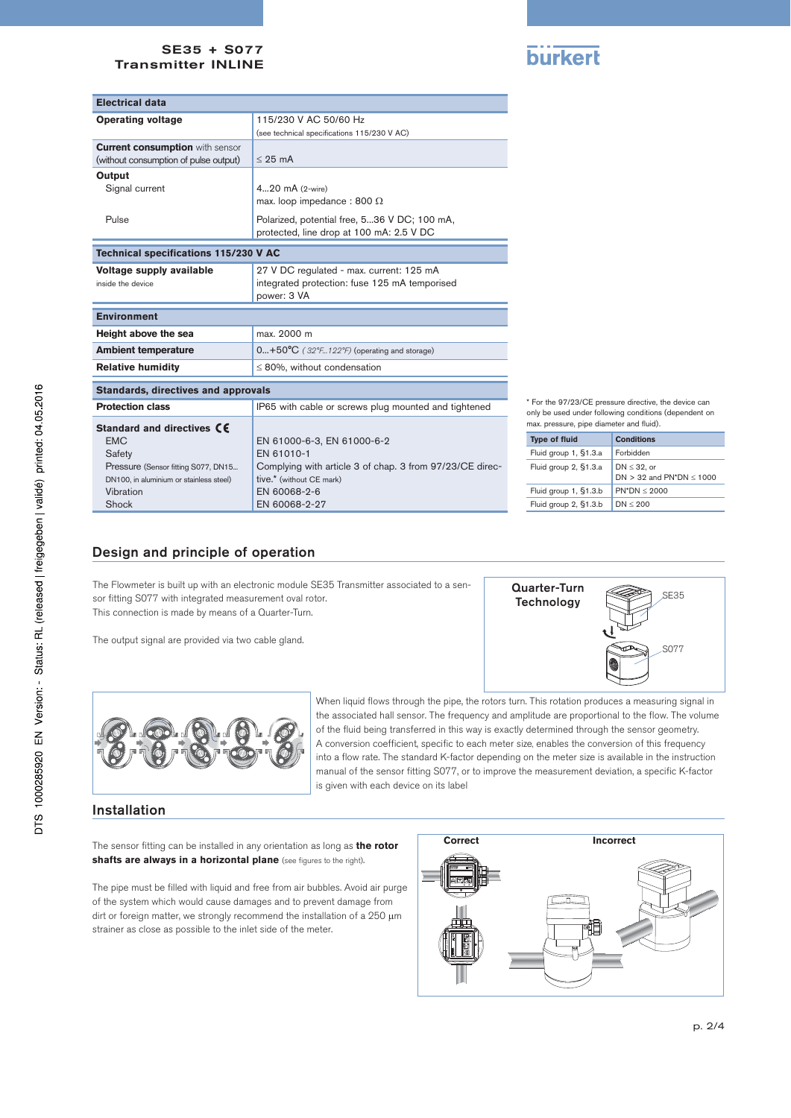#### SE35 + S077 Transmitter INLINE



| <b>Electrical data</b>                       |                                                          |  |  |  |
|----------------------------------------------|----------------------------------------------------------|--|--|--|
| <b>Operating voltage</b>                     | 115/230 V AC 50/60 Hz                                    |  |  |  |
|                                              | (see technical specifications 115/230 V AC)              |  |  |  |
| <b>Current consumption with sensor</b>       |                                                          |  |  |  |
| (without consumption of pulse output)        | $< 25 \text{ mA}$                                        |  |  |  |
| Output                                       |                                                          |  |  |  |
| Signal current                               | 420 mA (2-wire)                                          |  |  |  |
|                                              | max. loop impedance: 800 $\Omega$                        |  |  |  |
| Pulse                                        | Polarized, potential free, 536 V DC; 100 mA,             |  |  |  |
|                                              | protected, line drop at 100 mA: 2.5 V DC                 |  |  |  |
| <b>Technical specifications 115/230 V AC</b> |                                                          |  |  |  |
| Voltage supply available                     | 27 V DC regulated - max. current: 125 mA                 |  |  |  |
| inside the device                            | integrated protection: fuse 125 mA temporised            |  |  |  |
|                                              | power: 3 VA                                              |  |  |  |
|                                              |                                                          |  |  |  |
| <b>Environment</b>                           |                                                          |  |  |  |
| Height above the sea                         | max. 2000 m                                              |  |  |  |
| <b>Ambient temperature</b>                   | $0+50^{\circ}C$ (32°F122°F) (operating and storage)      |  |  |  |
| <b>Relative humidity</b>                     | $\leq$ 80%, without condensation                         |  |  |  |
| <b>Standards, directives and approvals</b>   |                                                          |  |  |  |
| <b>Protection class</b>                      | IP65 with cable or screws plug mounted and tightened     |  |  |  |
| Standard and directives CE                   |                                                          |  |  |  |
| <b>EMC</b>                                   | EN 61000-6-3, EN 61000-6-2                               |  |  |  |
| Safety                                       | FN 61010-1                                               |  |  |  |
| Pressure (Sensor fitting S077, DN15          | Complying with article 3 of chap. 3 from 97/23/CE direc- |  |  |  |
| DN100, in aluminium or stainless steel)      | tive.* (without CE mark)                                 |  |  |  |
| Vibration                                    | EN 60068-2-6                                             |  |  |  |
| Shock                                        | EN 60068-2-27                                            |  |  |  |

\* For the 97/23/CE pressure directive, the device can only be used under following conditions (dependent on max. pressure, pipe diameter and fluid).

| <b>Type of fluid</b>  | <b>Conditions</b>                               |
|-----------------------|-------------------------------------------------|
| Fluid group 1, §1.3.a | Forbidden                                       |
| Fluid group 2, §1.3.a | $DN \leq 32$ , or<br>DN $>$ 32 and PN*DN < 1000 |
| Fluid group 1, §1.3.b | $PN^*DN < 2000$                                 |
| Fluid group 2, §1.3.b | DN < 200                                        |
|                       |                                                 |

### Design and principle of operation

The Flowmeter is built up with an electronic module SE35 Transmitter associated to a sensor fitting S077 with integrated measurement oval rotor. This connection is made by means of a Quarter-Turn.

The output signal are provided via two cable gland.





When liquid flows through the pipe, the rotors turn. This rotation produces a measuring signal in the associated hall sensor. The frequency and amplitude are proportional to the flow. The volume of the fluid being transferred in this way is exactly determined through the sensor geometry. A conversion coefficient, specific to each meter size, enables the conversion of this frequency into a flow rate. The standard K-factor depending on the meter size is available in the instruction manual of the sensor fitting S077, or to improve the measurement deviation, a specific K-factor is given with each device on its label

#### Installation

The sensor fitting can be installed in any orientation as long as **the rotor shafts are always in a horizontal plane** (see figures to the right).

The pipe must be filled with liquid and free from air bubbles. Avoid air purge of the system which would cause damages and to prevent damage from dirt or foreign matter, we strongly recommend the installation of a 250  $\mu$ m strainer as close as possible to the inlet side of the meter.

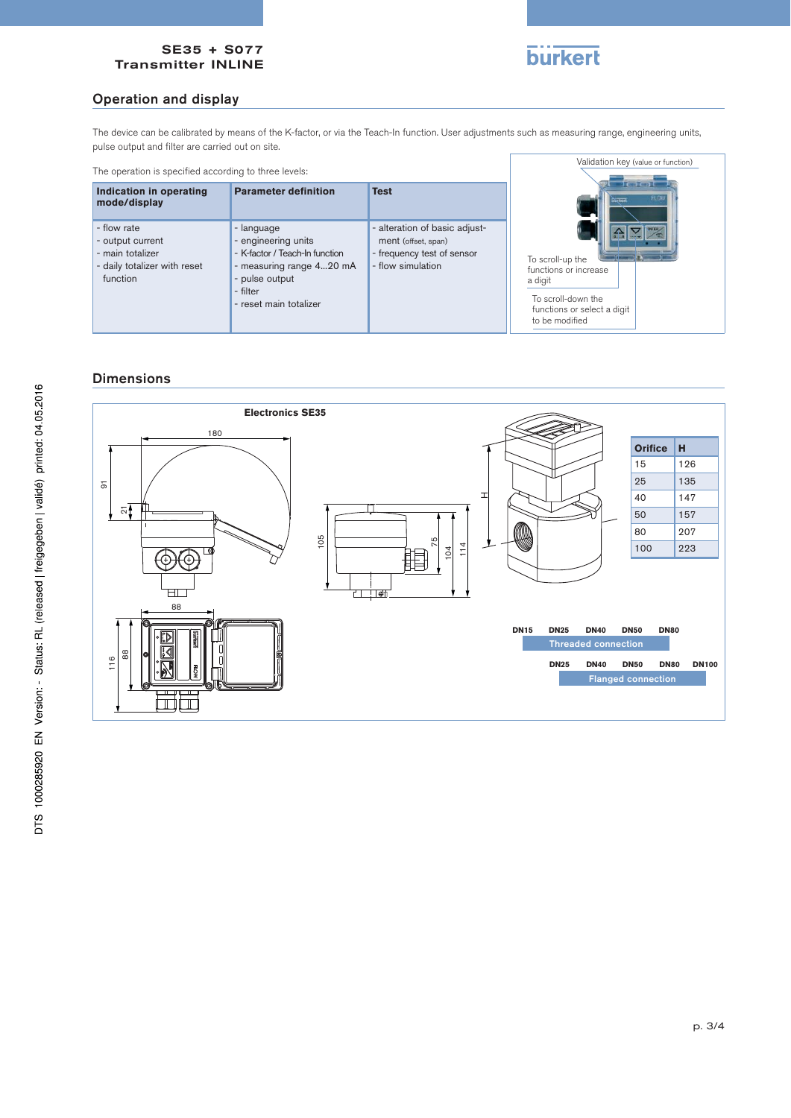#### SE35 + S077 Transmitter INLINE



### Operation and display

The device can be calibrated by means of the K-factor, or via the Teach-In function. User adjustments such as measuring range, engineering units, pulse output and filter are carried out on site.

| The operation is specified according to three levels:                                           |                                                                                                                                                         |                                                                                                         | Validation key (value or function)                                                                                          |
|-------------------------------------------------------------------------------------------------|---------------------------------------------------------------------------------------------------------------------------------------------------------|---------------------------------------------------------------------------------------------------------|-----------------------------------------------------------------------------------------------------------------------------|
| Indication in operating<br>mode/display                                                         | <b>Parameter definition</b>                                                                                                                             | <b>Test</b>                                                                                             | $\Box$<br><b>FLOV</b><br>िल्लेखर्ग                                                                                          |
| - flow rate<br>- output current<br>- main totalizer<br>- daily totalizer with reset<br>function | - language<br>- engineering units<br>- K-factor / Teach-In function<br>- measuring range 420 mA<br>- pulse output<br>- filter<br>- reset main totalizer | - alteration of basic adjust-<br>ment (offset, span)<br>- frequency test of sensor<br>- flow simulation | To scroll-up the<br>functions or increase<br>a digit<br>To scroll-down the<br>functions or select a digit<br>to be modified |

## Dimensions